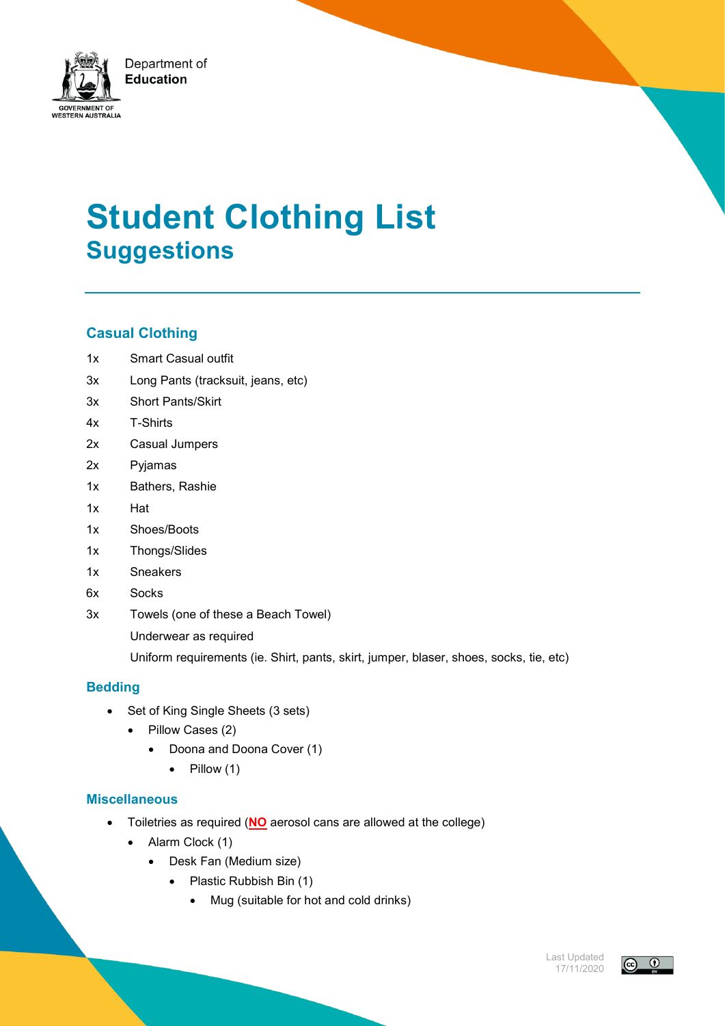

# **Student Clothing List Suggestions**

## **Casual Clothing**

- 1x Smart Casual outfit
- 3x Long Pants (tracksuit, jeans, etc)
- 3x Short Pants/Skirt
- 4x T-Shirts
- 2x Casual Jumpers
- 2x Pyjamas
- 1x Bathers, Rashie
- 1x Hat
- 1x Shoes/Boots
- 1x Thongs/Slides
- 1x Sneakers
- 6x Socks
- 3x Towels (one of these a Beach Towel) Underwear as required

Uniform requirements (ie. Shirt, pants, skirt, jumper, blaser, shoes, socks, tie, etc)

#### **Bedding**

- Set of King Single Sheets (3 sets)
	- Pillow Cases (2)
		- Doona and Doona Cover (1)
			- $\bullet$  Pillow (1)

#### **Miscellaneous**

- Toiletries as required (**NO** aerosol cans are allowed at the college)
	- Alarm Clock (1)
		- Desk Fan (Medium size)
			- Plastic Rubbish Bin (1)
				- Mug (suitable for hot and cold drinks)